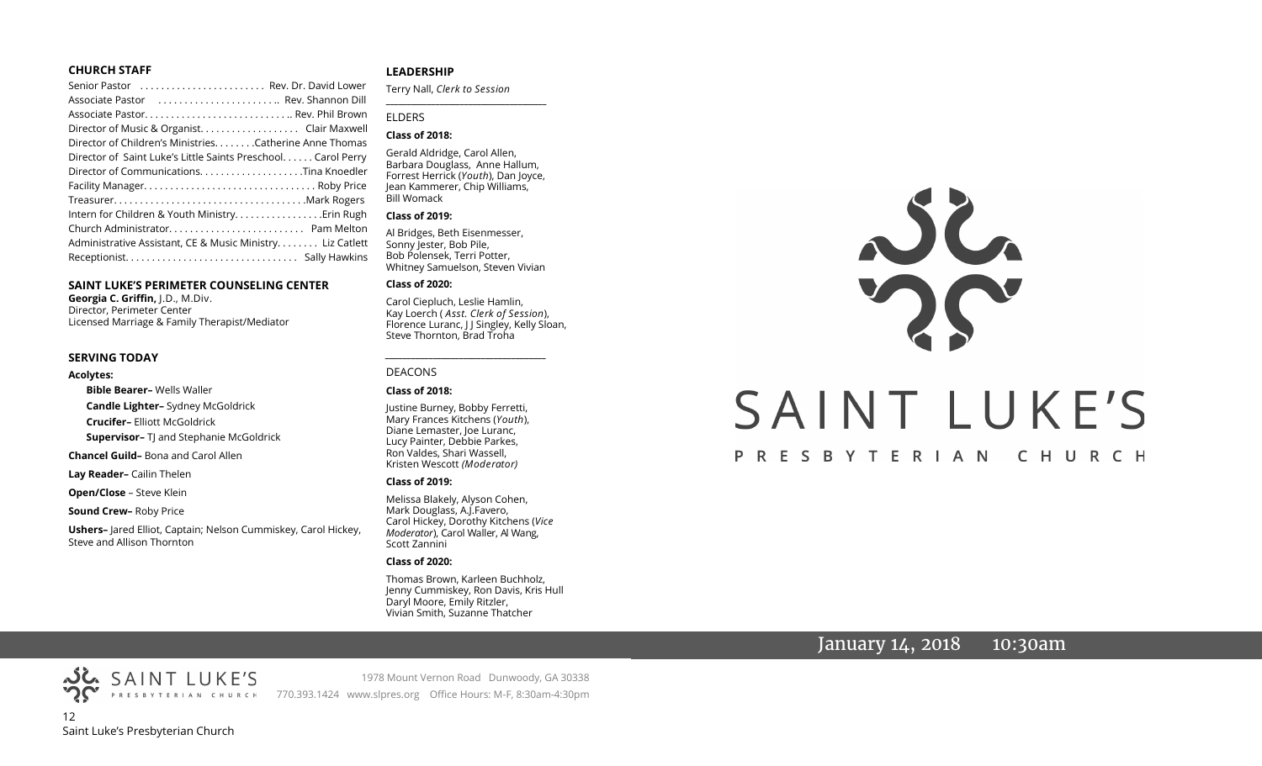#### **CHURCH STAFF**

| Senior Pastor  Rev. Dr. David Lower                          |  |
|--------------------------------------------------------------|--|
| Associate Pastor  Rev. Shannon Dill                          |  |
|                                                              |  |
| Director of Music & Organist. Clair Maxwell                  |  |
| Director of Children's Ministries. Catherine Anne Thomas     |  |
| Director of Saint Luke's Little Saints Preschool Carol Perry |  |
|                                                              |  |
|                                                              |  |
|                                                              |  |
|                                                              |  |
|                                                              |  |
| Administrative Assistant, CE & Music Ministry Liz Catlett    |  |
|                                                              |  |
|                                                              |  |

#### **SAINT LUKE'S PERIMETER COUNSELING CENTER**

**Georgia C. Griffin,** J.D., M.Div. Director, Perimeter Center Licensed Marriage & Family Therapist/Mediator

#### **SERVING TODAY**

#### **Acolytes:**

**Bible Bearer–** Wells Waller **Candle Lighter–** Sydney McGoldrick

**Crucifer–** Elliott McGoldrick

**Supervisor-** TJ and Stephanie McGoldrick

**Chancel Guild–** Bona and Carol Allen

**Lay Reader–** Cailin Thelen

**Open/Close** – Steve Klein

**Sound Crew–** Roby Price

**Ushers–** Jared Elliot, Captain; Nelson Cummiskey, Carol Hickey, Steve and Allison Thornton

#### **LEADERSHIP**

Terry Nall, *Clerk to Session* 

**\_\_\_\_\_\_\_\_\_\_\_\_\_\_\_\_\_\_\_\_\_\_\_\_\_\_\_\_\_\_\_\_\_\_\_\_\_\_\_**

#### ELDERS

#### **Class of 2018:**

Gerald Aldridge, Carol Allen, Barbara Douglass, Anne Hallum, Forrest Herrick (*Youth*), Dan Joyce, Jean Kammerer, Chip Williams, Bill Womack

#### **Class of 2019:**

Al Bridges, Beth Eisenmesser, Sonny Jester, Bob Pile, Bob Polensek, Terri Potter, Whitney Samuelson, Steven Vivian

#### **Class of 2020:**

Carol Ciepluch, Leslie Hamlin, Kay Loerch ( *Asst. Clerk of Session*), Florence Luranc, J J Singley, Kelly Sloan, Steve Thornton, Brad Troha

*\_\_\_\_\_\_\_\_\_\_\_\_\_\_\_\_\_\_\_\_\_\_\_\_\_\_\_\_\_\_\_\_\_\_\_\_\_*

#### DEACONS

#### **Class of 2018:**

Justine Burney, Bobby Ferretti, Mary Frances Kitchens (*Youth*), Diane Lemaster, Joe Luranc, Lucy Painter, Debbie Parkes, Ron Valdes, Shari Wassell, Kristen Wescott *(Moderator)*

#### **Class of 2019:**

Melissa Blakely, Alyson Cohen, Mark Douglass, A.J.Favero, Carol Hickey, Dorothy Kitchens (*Vice Moderator*), Carol Waller, Al Wang, Scott Zannini

#### **Class of 2020:**

Thomas Brown, Karleen Buchholz, Jenny Cummiskey, Ron Davis, Kris Hull Daryl Moore, Emily Ritzler, Vivian Smith, Suzanne Thatcher

1978 Mount Vernon Road Dunwoody, GA 30338

# JL. SAINT LUKE'S PRESBYTERIAN CHURCH

# January 14, 2018  $-$  10:30am

12 Saint Luke's Presbyterian Church PRESBYTERIAN CHURCH 770.393.1424 www.slpres.org Office Hours: M-F, 8:30am-4:30pm

SAINT LUKE'S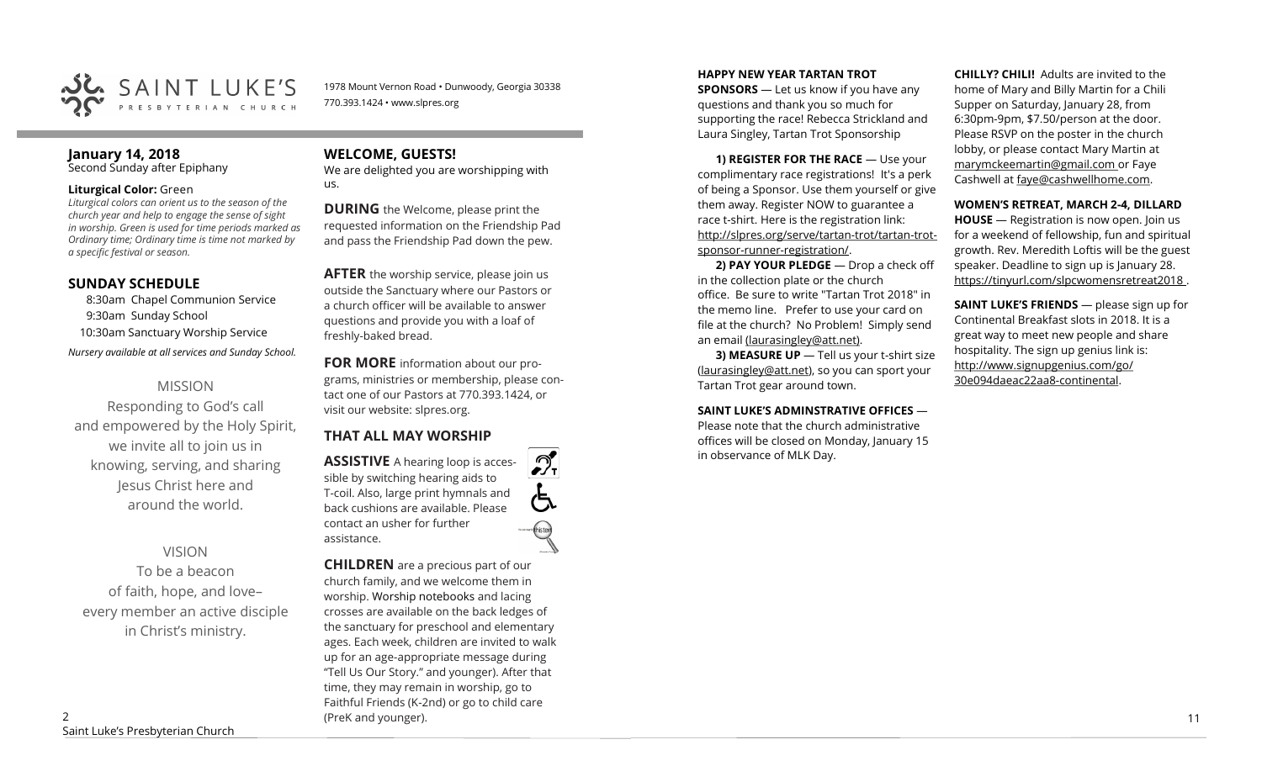

1978 Mount Vernon Road • Dunwoody, Georgia 30338 770.393.1424 • www.slpres.org

# **January 14, 2018**

Second Sunday after Epiphany

#### **Liturgical Color:** Green

*Liturgical colors can orient us to the season of the church year and help to engage the sense of sight in worship. Green is used for time periods marked as Ordinary time; Ordinary time is time not marked by a specific festival or season.*

#### **SUNDAY SCHEDULE**

8:30am Chapel Communion Service 9:30am Sunday School 10:30am Sanctuary Worship Service

*Nursery available at all services and Sunday School.* 

#### MISSION

Responding to God's call and empowered by the Holy Spirit, we invite all to join us in knowing, serving, and sharing Jesus Christ here and around the world.

#### VISION

To be a beacon of faith, hope, and love– every member an active disciple in Christ's ministry.

## **WELCOME, GUESTS!**

We are delighted you are worshipping with us.

**DURING** the Welcome, please print the requested information on the Friendship Pad and pass the Friendship Pad down the pew.

**AFTER** the worship service, please join us outside the Sanctuary where our Pastors or a church officer will be available to answer questions and provide you with a loaf of freshly-baked bread.

**FOR MORE** information about our programs, ministries or membership, please contact one of our Pastors at 770.393.1424, or visit our website: slpres.org.

# **THAT ALL MAY WORSHIP**

 $\mathcal{D}_{\mathrm{r}}$ **ASSISTIVE** A hearing loop is accessible by switching hearing aids to T-coil. Also, large print hymnals and back cushions are available. Please contact an usher for further assistance.

**CHILDREN** are a precious part of our church family, and we welcome them in worship. Worship notebooks and lacing crosses are available on the back ledges of the sanctuary for preschool and elementary ages. Each week, children are invited to walk up for an age-appropriate message during "Tell Us Our Story." and younger). After that time, they may remain in worship, go to Faithful Friends (K-2nd) or go to child care (PreK and younger). 2011 11

#### **HAPPY NEW YEAR TARTAN TROT**

**SPONSORS** — Let us know if you have any questions and thank you so much for supporting the race! Rebecca Strickland and Laura Singley, Tartan Trot Sponsorship

**1) REGISTER FOR THE RACE** — Use your complimentary race registrations! It's a perk of being a Sponsor. Use them yourself or give them away. Register NOW to guarantee a race t-shirt. Here is the registration link: [http://slpres.org/serve/tartan](http://slpres.org/serve/tartan-trot/tartan-trot-sponsor-runner-registration/)-trot/tartan-trotsponsor-runner-[registration/.](http://slpres.org/serve/tartan-trot/tartan-trot-sponsor-runner-registration/)

**2) PAY YOUR PLEDGE** — Drop a check off in the collection plate or the church office. Be sure to write "Tartan Trot 2018" in the memo line. Prefer to use your card on file at the church? No Problem! Simply send an email [\(laurasingley@att.net\).](mailto:laurasingley@att.net)

**3) MEASURE UP** - Tell us your t-shirt size [\(laurasingley@att.net\),](mailto:laurasingley@att.net) so you can sport your Tartan Trot gear around town.

#### **SAINT LUKE'S ADMINSTRATIVE OFFICES** —

Please note that the church administrative offices will be closed on Monday, January 15 in observance of MLK Day.

**CHILLY? CHILI!** Adults are invited to the home of Mary and Billy Martin for a Chili Supper on Saturday, January 28, from 6:30pm-9pm, \$7.50/person at the door. Please RSVP on the poster in the church lobby, or please contact Mary Martin at marymckeemartin@gmail.com or Faye Cashwell at faye@cashwellhome.com.

#### **WOMEN'S RETREAT, MARCH 2-4, DILLARD**

**HOUSE** — Registration is now open. Join us for a weekend of fellowship, fun and spiritual growth. Rev. Meredith Loftis will be the guest speaker. Deadline to sign up is January 28. https://tinyurl.com/slpcwomensretreat2018 .

**SAINT LUKE'S FRIENDS** — please sign up for Continental Breakfast slots in 2018. It is a great way to meet new people and share hospitality. The sign up genius link is: <http://www.signupgenius.com/go/> 30e094daeac22aa8-continental.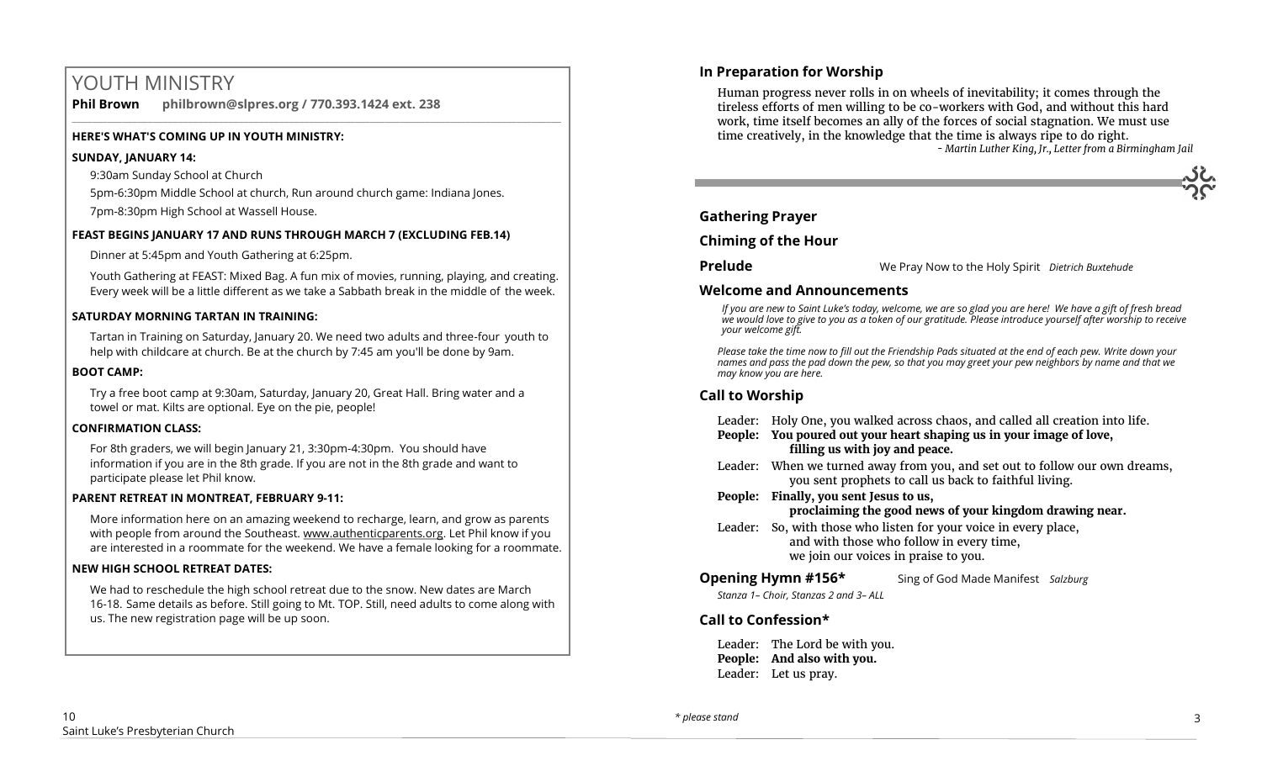# YOUTH MINISTRY

**Phil Brown philbrown@slpres.org / 770.393.1424 ext. 238**   $\_$  ,  $\_$  ,  $\_$  ,  $\_$  ,  $\_$  ,  $\_$  ,  $\_$  ,  $\_$  ,  $\_$  ,  $\_$  ,  $\_$  ,  $\_$  ,  $\_$  ,  $\_$  ,  $\_$  ,  $\_$  ,  $\_$  ,  $\_$  ,  $\_$  ,  $\_$  ,  $\_$  ,  $\_$  ,  $\_$  ,  $\_$  ,  $\_$  ,  $\_$  ,  $\_$  ,  $\_$  ,  $\_$  ,  $\_$  ,  $\_$  ,  $\_$  ,  $\_$  ,  $\_$  ,  $\_$  ,  $\_$  ,  $\_$  ,

#### **HERE'S WHAT'S COMING UP IN YOUTH MINISTRY:**

#### **SUNDAY, JANUARY 14:**

9:30am Sunday School at Church

5pm-6:30pm Middle School at church, Run around church game: Indiana Jones.

7pm-8:30pm High School at Wassell House.

#### **FEAST BEGINS JANUARY 17 AND RUNS THROUGH MARCH 7 (EXCLUDING FEB.14)**

Dinner at 5:45pm and Youth Gathering at 6:25pm.

Youth Gathering at FEAST: Mixed Bag. A fun mix of movies, running, playing, and creating. Every week will be a little different as we take a Sabbath break in the middle of the week.

#### **SATURDAY MORNING TARTAN IN TRAINING:**

Tartan in Training on Saturday, January 20. We need two adults and three-four youth to help with childcare at church. Be at the church by 7:45 am you'll be done by 9am.

#### **BOOT CAMP:**

Try a free boot camp at 9:30am, Saturday, January 20, Great Hall. Bring water and a towel or mat. Kilts are optional. Eye on the pie, people!

#### **CONFIRMATION CLASS:**

For 8th graders, we will begin January 21, 3:30pm-4:30pm. You should have information if you are in the 8th grade. If you are not in the 8th grade and want to participate please let Phil know.

#### **PARENT RETREAT IN MONTREAT, FEBRUARY 9-11:**

[More information here](https://www.authenticparents.org/) on an amazing weekend to recharge, learn, and grow as parents with people from around the Southeast. [www.authenticparents.org.](http://www.authenticparents.org/) Let Phil know if you are interested in a roommate for the weekend. We have a female looking for a roommate.

#### **NEW HIGH SCHOOL RETREAT DATES:**

We had to reschedule the high school retreat due to the snow. New dates are March 16-18. Same details as before. Still going to Mt. TOP. Still, need adults to come along with us. The new registration page will be up soon.

#### **In Preparation for Worship**

Human progress never rolls in on wheels of inevitability; it comes through the tireless efforts of men willing to be co-workers with God, and without this hard work, time itself becomes an ally of the forces of social stagnation. We must use time creatively, in the knowledge that the time is always ripe to do right.  *- Martin Luther King, Jr., Letter from a Birmingham Jail*



#### **Gathering Prayer**

**Chiming of the Hour**

**Prelude** We Pray Now to the Holy Spirit *Dietrich Buxtehude* 

#### **Welcome and Announcements**

*If you are new to Saint Luke's today, welcome, we are so glad you are here! We have a gift of fresh bread we would love to give to you as a token of our gratitude. Please introduce yourself after worship to receive your welcome gift.*

*Please take the time now to fill out the Friendship Pads situated at the end of each pew. Write down your names and pass the pad down the pew, so that you may greet your pew neighbors by name and that we may know you are here.*

## **Call to Worship**

- Leader: Holy One, you walked across chaos, and called all creation into life.
- **People: You poured out your heart shaping us in your image of love, filling us with joy and peace.**
- Leader: When we turned away from you, and set out to follow our own dreams, you sent prophets to call us back to faithful living.
- **People: Finally, you sent Jesus to us, proclaiming the good news of your kingdom drawing near.**
- Leader: So, with those who listen for your voice in every place, and with those who follow in every time, we join our voices in praise to you.

**Opening Hymn #156\*** Sing of God Made Manifest *Salzburg Stanza 1– Choir, Stanzas 2 and 3– ALL* 

## **Call to Confession\***

Leader: The Lord be with you. **People: And also with you.** Leader: Let us pray.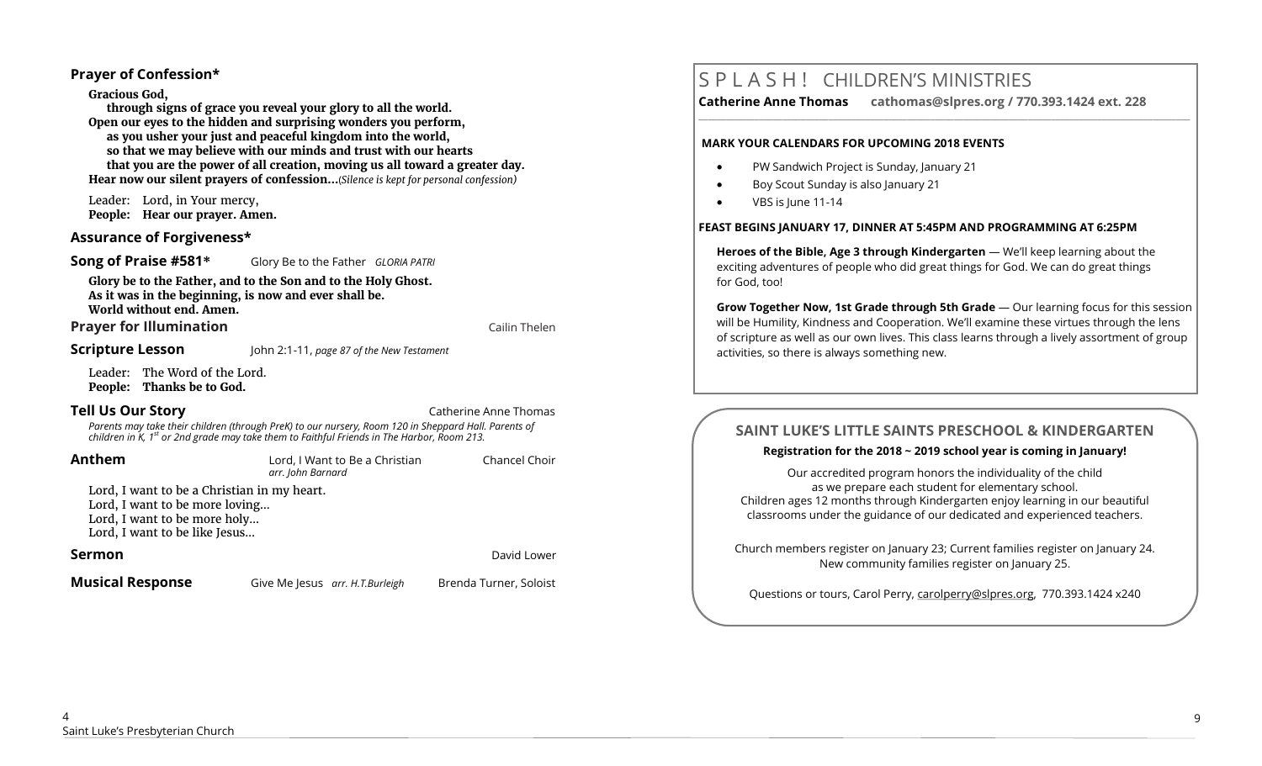#### **Prayer of Confession\***

**Gracious God,** 

**through signs of grace you reveal your glory to all the world. Open our eyes to the hidden and surprising wonders you perform, as you usher your just and peaceful kingdom into the world, so that we may believe with our minds and trust with our hearts that you are the power of all creation, moving us all toward a greater day. Hear now our silent prayers of confession…**(*Silence is kept for personal confession)* 

Leader: Lord, in Your mercy, **People: Hear our prayer. Amen.**

#### **Assurance of Forgiveness\***

**Song of Praise #581\*** Glory Be to the Father *GLORIA PATRI*

**Glory be to the Father, and to the Son and to the Holy Ghost. As it was in the beginning, is now and ever shall be. World without end. Amen.** 

**Prayer for Illumination Cailin Thelen** 

**Scripture Lesson** John 2:1-11, *page 87 of the New Testament*

Leader: The Word of the Lord. **People: Thanks be to God.**

**Tell Us Our Story Catherine Anne Thomas Catherine Anne Thomas** 

*Parents may take their children (through PreK) to our nursery, Room 120 in Sheppard Hall. Parents of children in K, 1st or 2nd grade may take them to Faithful Friends in The Harbor, Room 213.*

**Anthem** Lord, I Want to Be a Christian Chancel Choir *arr. John Barnard* 

Lord, I want to be a Christian in my heart. Lord, I want to be more loving… Lord, I want to be more holy… Lord, I want to be like Jesus…

#### **Sermon David Lower Contract Contract Contract Contract Contract Contract Contract Contract Contract Contract Contract Contract Contract Contract Contract Contract Contract Contract Contract Contract Contract Contract**

**Musical Response** Give Me Jesus *arr. H.T.Burleigh* Brenda Turner, Soloist

# S P L A S H ! CHILDREN'S MINISTRIES

**Catherine Anne Thomas cathomas@slpres.org / 770.393.1424 ext. 228** 

**\_\_\_\_\_\_\_\_\_\_\_\_\_\_\_\_\_\_\_\_\_\_\_\_\_\_\_\_\_\_\_\_\_\_\_\_\_\_\_\_\_\_\_\_\_\_\_\_\_\_\_\_\_\_\_\_\_\_\_\_\_\_\_\_\_\_\_\_\_\_\_\_\_\_\_\_\_\_\_\_\_\_\_\_\_\_\_\_\_\_\_\_\_\_\_\_\_\_\_\_\_\_\_\_\_\_** 

#### **MARK YOUR CALENDARS FOR UPCOMING 2018 EVENTS**

- PW Sandwich Project is Sunday, January 21
- Boy Scout Sunday is also January 21
- VBS is lune 11-14

#### **FEAST BEGINS JANUARY 17, DINNER AT 5:45PM AND PROGRAMMING AT 6:25PM**

**Heroes of the Bible, Age 3 through Kindergarten** — We'll keep learning about the exciting adventures of people who did great things for God. We can do great things for God, too!

**Grow Together Now, 1st Grade through 5th Grade** — Our learning focus for this session will be Humility, Kindness and Cooperation. We'll examine these virtues through the lens of scripture as well as our own lives. This class learns through a lively assortment of group activities, so there is always something new.

# **SAINT LUKE'S LITTLE SAINTS PRESCHOOL & KINDERGARTEN**

#### **Registration for the 2018 ~ 2019 school year is coming in January!**

Our accredited program honors the individuality of the child as we prepare each student for elementary school. Children ages 12 months through Kindergarten enjoy learning in our beautiful classrooms under the guidance of our dedicated and experienced teachers.

Church members register on January 23; Current families register on January 24. New community families register on January 25.

Questions or tours, Carol Perry, carolperry@slpres.org, 770.393.1424 x240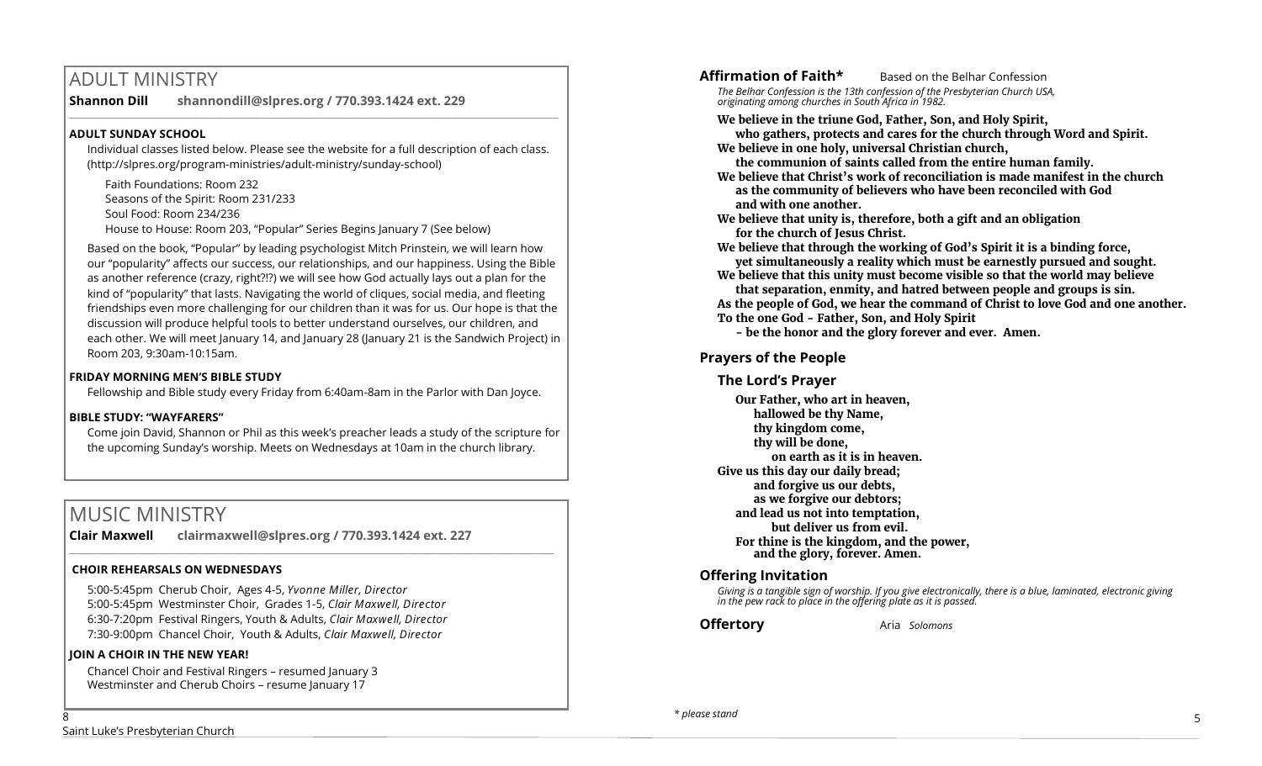# ADULT MINISTRY

**Shannon Dill shannondill@slpres.org / 770.393.1424 ext. 229** 

#### **ADULT SUNDAY SCHOOL**

Individual classes listed below. Please see the website for a full description of each class. (http://slpres.org/program-ministries/adult-ministry/sunday-school)

 $\_$  ,  $\_$  ,  $\_$  ,  $\_$  ,  $\_$  ,  $\_$  ,  $\_$  ,  $\_$  ,  $\_$  ,  $\_$  ,  $\_$  ,  $\_$  ,  $\_$  ,  $\_$  ,  $\_$  ,  $\_$  ,  $\_$  ,  $\_$  ,  $\_$  ,  $\_$ 

Faith Foundations: Room 232 Seasons of the Spirit: Room 231/233 Soul Food: Room 234/236 House to House: Room 203, "Popular" Series Begins January 7 (See below)

Based on the book, "Popular" by leading psychologist Mitch Prinstein, we will learn how our "popularity" affects our success, our relationships, and our happiness. Using the Bible as another reference (crazy, right?!?) we will see how God actually lays out a plan for the kind of "popularity" that lasts. Navigating the world of cliques, social media, and fleeting friendships even more challenging for our children than it was for us. Our hope is that the discussion will produce helpful tools to better understand ourselves, our children, and each other. We will meet January 14, and January 28 (January 21 is the Sandwich Project) in Room 203, 9:30am-10:15am.

#### **FRIDAY MORNING MEN'S BIBLE STUDY**

Fellowship and Bible study every Friday from 6:40am-8am in the Parlor with Dan Joyce.

#### **BIBLE STUDY: "WAYFARERS"**

Come join David, Shannon or Phil as this week's preacher leads a study of the scripture for the upcoming Sunday's worship. Meets on Wednesdays at 10am in the church library.

# MUSIC MINISTRY

**Clair Maxwell clairmaxwell@slpres.org / 770.393.1424 ext. 227**   $\_$  ,  $\_$  ,  $\_$  ,  $\_$  ,  $\_$  ,  $\_$  ,  $\_$  ,  $\_$  ,  $\_$  ,  $\_$  ,  $\_$  ,  $\_$  ,  $\_$  ,  $\_$  ,  $\_$  ,  $\_$  ,  $\_$  ,  $\_$  ,  $\_$ 

#### **CHOIR REHEARSALS ON WEDNESDAYS**

5:00-5:45pm Cherub Choir, Ages 4-5, *Yvonne Miller, Director*  5:00-5:45pm Westminster Choir, Grades 1-5, *Clair Maxwell, Director*  6:30-7:20pm Festival Ringers, Youth & Adults, *Clair Maxwell, Director*  7:30-9:00pm Chancel Choir, Youth & Adults, *Clair Maxwell, Director* 

#### **JOIN A CHOIR IN THE NEW YEAR!**

Chancel Choir and Festival Ringers – resumed January 3 Westminster and Cherub Choirs - resume January 17

**Affirmation of Faith\*** Based on the Belhar Confession

*The Belhar Confession is the 13th confession of the Presbyterian Church USA, originating among churches in South Africa in 1982.*

#### **We believe in the triune God, Father, Son, and Holy Spirit,**

**who gathers, protects and cares for the church through Word and Spirit. We believe in one holy, universal Christian church,** 

**the communion of saints called from the entire human family.**

**We believe that Christ's work of reconciliation is made manifest in the church as the community of believers who have been reconciled with God and with one another.**

**We believe that unity is, therefore, both a gift and an obligation for the church of Jesus Christ.**

**We believe that through the working of God's Spirit it is a binding force, yet simultaneously a reality which must be earnestly pursued and sought.**

**We believe that this unity must become visible so that the world may believe that separation, enmity, and hatred between people and groups is sin.**

**As the people of God, we hear the command of Christ to love God and one another. To the one God - Father, Son, and Holy Spirit** 

**- be the honor and the glory forever and ever. Amen.**

## **Prayers of the People**

#### **The Lord's Prayer**

**Our Father, who art in heaven, hallowed be thy Name, thy kingdom come, thy will be done, on earth as it is in heaven. Give us this day our daily bread; and forgive us our debts, as we forgive our debtors; and lead us not into temptation, but deliver us from evil. For thine is the kingdom, and the power, and the glory, forever. Amen.** 

#### **Offering Invitation**

*Giving is a tangible sign of worship. If you give electronically, there is a blue, laminated, electronic giving in the pew rack to place in the offering plate as it is passed.*

**Offertory** Aria *Solomons* 

8